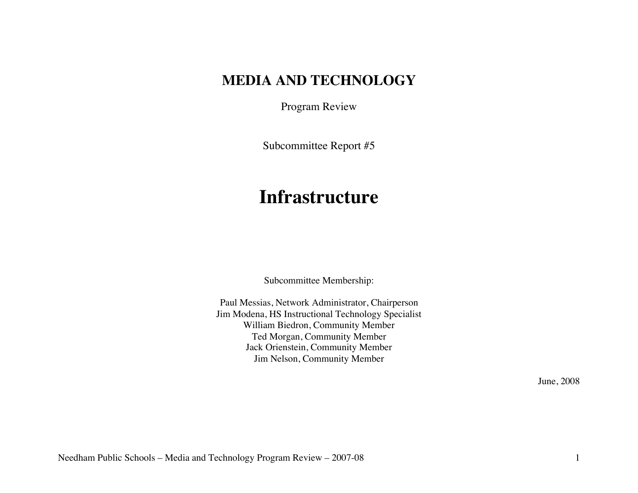# **MEDIA AND TECHNOLOGY**

Program Review

Subcommittee Report #5

# **Infrastructure**

Subcommittee Membership:

Paul Messias, Network Administrator, Chairperson Jim Modena, HS Instructional Technology Specialist William Biedron, Community Member Ted Morgan, Community Member Jack Orienstein, Community Member Jim Nelson, Community Member

June, 2008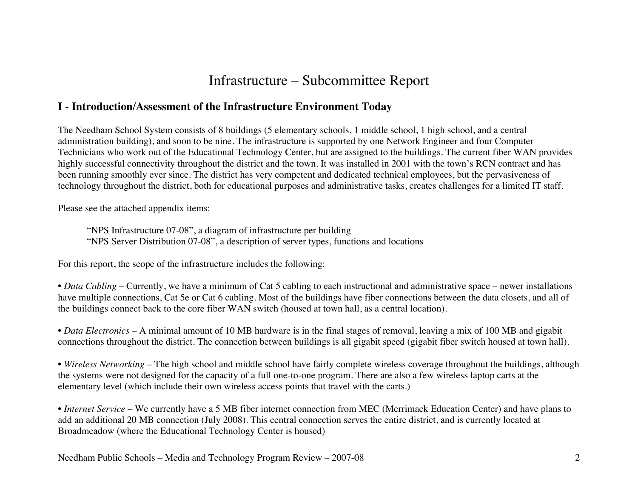# Infrastructure – Subcommittee Report

### **I - Introduction/Assessment of the Infrastructure Environment Today**

The Needham School System consists of 8 buildings (5 elementary schools, 1 middle school, 1 high school, and a central administration building), and soon to be nine. The infrastructure is supported by one Network Engineer and four Computer Technicians who work out of the Educational Technology Center, but are assigned to the buildings. The current fiber WAN provides highly successful connectivity throughout the district and the town. It was installed in 2001 with the town's RCN contract and has been running smoothly ever since. The district has very competent and dedicated technical employees, but the pervasiveness of technology throughout the district, both for educational purposes and administrative tasks, creates challenges for a limited IT staff.

Please see the attached appendix items:

"NPS Infrastructure 07-08", a diagram of infrastructure per building "NPS Server Distribution 07-08", a description of server types, functions and locations

For this report, the scope of the infrastructure includes the following:

• *Data Cabling* – Currently, we have a minimum of Cat 5 cabling to each instructional and administrative space – newer installations have multiple connections, Cat 5e or Cat 6 cabling. Most of the buildings have fiber connections between the data closets, and all of the buildings connect back to the core fiber WAN switch (housed at town hall, as a central location).

• *Data Electronics* – A minimal amount of 10 MB hardware is in the final stages of removal, leaving a mix of 100 MB and gigabit connections throughout the district. The connection between buildings is all gigabit speed (gigabit fiber switch housed at town hall).

• *Wireless Networking* – The high school and middle school have fairly complete wireless coverage throughout the buildings, although the systems were not designed for the capacity of a full one-to-one program. There are also a few wireless laptop carts at the elementary level (which include their own wireless access points that travel with the carts.)

• *Internet Service* – We currently have a 5 MB fiber internet connection from MEC (Merrimack Education Center) and have plans to add an additional 20 MB connection (July 2008). This central connection serves the entire district, and is currently located at Broadmeadow (where the Educational Technology Center is housed)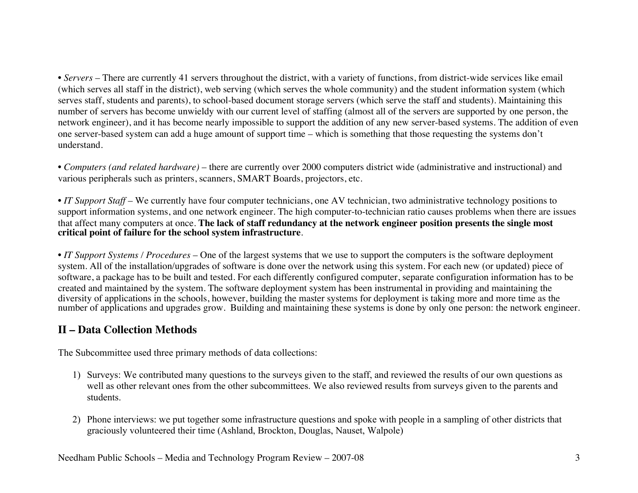• *Servers* – There are currently 41 servers throughout the district, with a variety of functions, from district-wide services like email (which serves all staff in the district), web serving (which serves the whole community) and the student information system (which serves staff, students and parents), to school-based document storage servers (which serve the staff and students). Maintaining this number of servers has become unwieldy with our current level of staffing (almost all of the servers are supported by one person, the network engineer), and it has become nearly impossible to support the addition of any new server-based systems. The addition of even one server-based system can add a huge amount of support time – which is something that those requesting the systems don't understand.

• *Computers (and related hardware)* – there are currently over 2000 computers district wide (administrative and instructional) and various peripherals such as printers, scanners, SMART Boards, projectors, etc.

• *IT Support Staff* – We currently have four computer technicians, one AV technician, two administrative technology positions to support information systems, and one network engineer. The high computer-to-technician ratio causes problems when there are issues that affect many computers at once. **The lack of staff redundancy at the network engineer position presents the single most critical point of failure for the school system infrastructure**.

• *IT Support Systems / Procedures* – One of the largest systems that we use to support the computers is the software deployment system. All of the installation/upgrades of software is done over the network using this system. For each new (or updated) piece of software, a package has to be built and tested. For each differently configured computer, separate configuration information has to be created and maintained by the system. The software deployment system has been instrumental in providing and maintaining the diversity of applications in the schools, however, building the master systems for deployment is taking more and more time as the number of applications and upgrades grow. Building and maintaining these systems is done by only one person: the network engineer.

### **II – Data Collection Methods**

The Subcommittee used three primary methods of data collections:

- 1) Surveys: We contributed many questions to the surveys given to the staff, and reviewed the results of our own questions as well as other relevant ones from the other subcommittees. We also reviewed results from surveys given to the parents and students.
- 2) Phone interviews: we put together some infrastructure questions and spoke with people in a sampling of other districts that graciously volunteered their time (Ashland, Brockton, Douglas, Nauset, Walpole)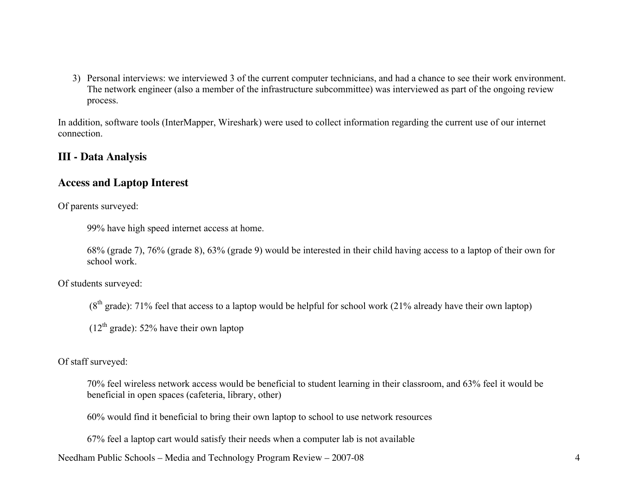3) Personal interviews: we interviewed 3 of the current computer technicians, and had a chance to see their work environment. The network engineer (also a member of the infrastructure subcommittee) was interviewed as part of the ongoing review process.

In addition, software tools (InterMapper, Wireshark) were used to collect information regarding the current use of our internet connection.

#### **III - Data Analysis**

#### **Access and Laptop Interest**

Of parents surveyed:

99% have high speed internet access at home.

68% (grade 7), 76% (grade 8), 63% (grade 9) would be interested in their child having access to a laptop of their own for school work.

Of students surveyed:

 $(8<sup>th</sup> grade)$ : 71% feel that access to a laptop would be helpful for school work (21% already have their own laptop)

 $(12<sup>th</sup> grade)$ : 52% have their own laptop

Of staff surveyed:

70% feel wireless network access would be beneficial to student learning in their classroom, and 63% feel it would be beneficial in open spaces (cafeteria, library, other)

60% would find it beneficial to bring their own laptop to school to use network resources

67% feel a laptop cart would satisfy their needs when a computer lab is not available

Needham Public Schools – Media and Technology Program Review – 2007-08 4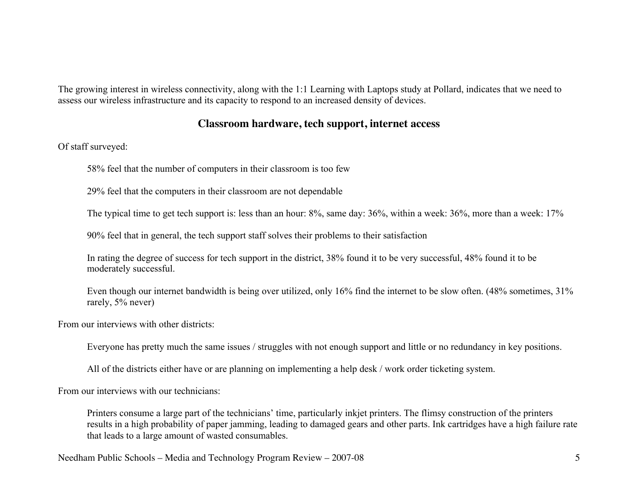The growing interest in wireless connectivity, along with the 1:1 Learning with Laptops study at Pollard, indicates that we need to assess our wireless infrastructure and its capacity to respond to an increased density of devices.

#### **Classroom hardware, tech support, internet access**

Of staff surveyed:

58% feel that the number of computers in their classroom is too few

29% feel that the computers in their classroom are not dependable

The typical time to get tech support is: less than an hour: 8%, same day: 36%, within a week: 36%, more than a week: 17%

90% feel that in general, the tech support staff solves their problems to their satisfaction

In rating the degree of success for tech support in the district, 38% found it to be very successful, 48% found it to be moderately successful.

Even though our internet bandwidth is being over utilized, only 16% find the internet to be slow often. (48% sometimes, 31% rarely, 5% never)

From our interviews with other districts:

Everyone has pretty much the same issues / struggles with not enough support and little or no redundancy in key positions.

All of the districts either have or are planning on implementing a help desk / work order ticketing system.

From our interviews with our technicians:

Printers consume a large part of the technicians' time, particularly inkjet printers. The flimsy construction of the printers results in a high probability of paper jamming, leading to damaged gears and other parts. Ink cartridges have a high failure rate that leads to a large amount of wasted consumables.

Needham Public Schools – Media and Technology Program Review – 2007-08 5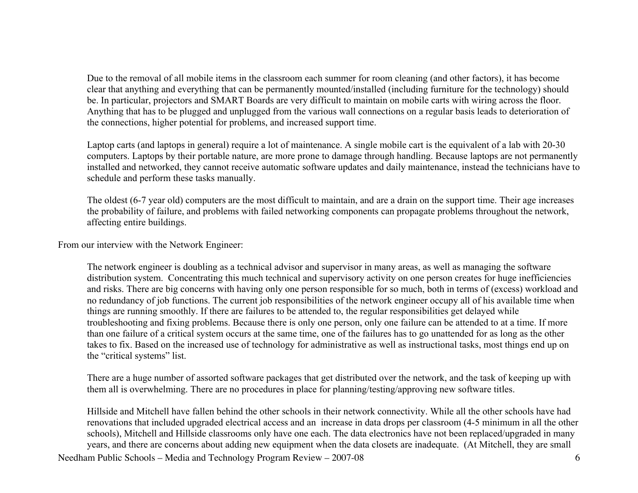Due to the removal of all mobile items in the classroom each summer for room cleaning (and other factors), it has become clear that anything and everything that can be permanently mounted/installed (including furniture for the technology) should be. In particular, projectors and SMART Boards are very difficult to maintain on mobile carts with wiring across the floor. Anything that has to be plugged and unplugged from the various wall connections on a regular basis leads to deterioration of the connections, higher potential for problems, and increased support time.

Laptop carts (and laptops in general) require a lot of maintenance. A single mobile cart is the equivalent of a lab with 20-30 computers. Laptops by their portable nature, are more prone to damage through handling. Because laptops are not permanently installed and networked, they cannot receive automatic software updates and daily maintenance, instead the technicians have to schedule and perform these tasks manually.

The oldest (6-7 year old) computers are the most difficult to maintain, and are a drain on the support time. Their age increases the probability of failure, and problems with failed networking components can propagate problems throughout the network, affecting entire buildings.

From our interview with the Network Engineer:

The network engineer is doubling as a technical advisor and supervisor in many areas, as well as managing the software distribution system. Concentrating this much technical and supervisory activity on one person creates for huge inefficiencies and risks. There are big concerns with having only one person responsible for so much, both in terms of (excess) workload and no redundancy of job functions. The current job responsibilities of the network engineer occupy all of his available time when things are running smoothly. If there are failures to be attended to, the regular responsibilities get delayed while troubleshooting and fixing problems. Because there is only one person, only one failure can be attended to at a time. If more than one failure of a critical system occurs at the same time, one of the failures has to go unattended for as long as the other takes to fix. Based on the increased use of technology for administrative as well as instructional tasks, most things end up on the "critical systems" list.

There are a huge number of assorted software packages that get distributed over the network, and the task of keeping up with them all is overwhelming. There are no procedures in place for planning/testing/approving new software titles.

Needham Public Schools – Media and Technology Program Review – 2007-08 6 Hillside and Mitchell have fallen behind the other schools in their network connectivity. While all the other schools have had renovations that included upgraded electrical access and an increase in data drops per classroom (4-5 minimum in all the other schools), Mitchell and Hillside classrooms only have one each. The data electronics have not been replaced/upgraded in many years, and there are concerns about adding new equipment when the data closets are inadequate. (At Mitchell, they are small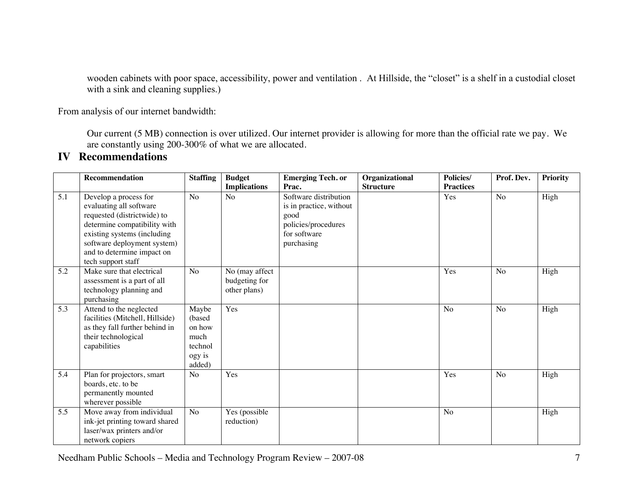wooden cabinets with poor space, accessibility, power and ventilation . At Hillside, the "closet" is a shelf in a custodial closet with a sink and cleaning supplies.)

From analysis of our internet bandwidth:

Our current (5 MB) connection is over utilized. Our internet provider is allowing for more than the official rate we pay. We are constantly using 200-300% of what we are allocated.

## **IV Recommendations**

|                  | <b>Recommendation</b>                                                                                                                                                                                                             | <b>Staffing</b>                                                   | <b>Budget</b>                                   | <b>Emerging Tech. or</b>                                                                                      | Organizational   | <b>Policies/</b> | Prof. Dev.     | <b>Priority</b> |
|------------------|-----------------------------------------------------------------------------------------------------------------------------------------------------------------------------------------------------------------------------------|-------------------------------------------------------------------|-------------------------------------------------|---------------------------------------------------------------------------------------------------------------|------------------|------------------|----------------|-----------------|
|                  |                                                                                                                                                                                                                                   |                                                                   | <b>Implications</b>                             | Prac.                                                                                                         | <b>Structure</b> | <b>Practices</b> |                |                 |
| $\overline{5.1}$ | Develop a process for<br>evaluating all software<br>requested (districtwide) to<br>determine compatibility with<br>existing systems (including<br>software deployment system)<br>and to determine impact on<br>tech support staff | N <sub>o</sub>                                                    | No                                              | Software distribution<br>is in practice, without<br>good<br>policies/procedures<br>for software<br>purchasing |                  | Yes              | No             | High            |
| 5.2              | Make sure that electrical<br>assessment is a part of all<br>technology planning and<br>purchasing                                                                                                                                 | No                                                                | No (may affect<br>budgeting for<br>other plans) |                                                                                                               |                  | Yes              | No             | High            |
| 5.3              | Attend to the neglected<br>facilities (Mitchell, Hillside)<br>as they fall further behind in<br>their technological<br>capabilities                                                                                               | Maybe<br>(based)<br>on how<br>much<br>technol<br>ogy is<br>added) | Yes                                             |                                                                                                               |                  | No               | N <sub>o</sub> | High            |
| 5.4              | Plan for projectors, smart<br>boards, etc. to be<br>permanently mounted<br>wherever possible                                                                                                                                      | No                                                                | Yes                                             |                                                                                                               |                  | Yes              | No             | High            |
| 5.5              | Move away from individual<br>ink-jet printing toward shared<br>laser/wax printers and/or<br>network copiers                                                                                                                       | No                                                                | Yes (possible<br>reduction)                     |                                                                                                               |                  | No               |                | High            |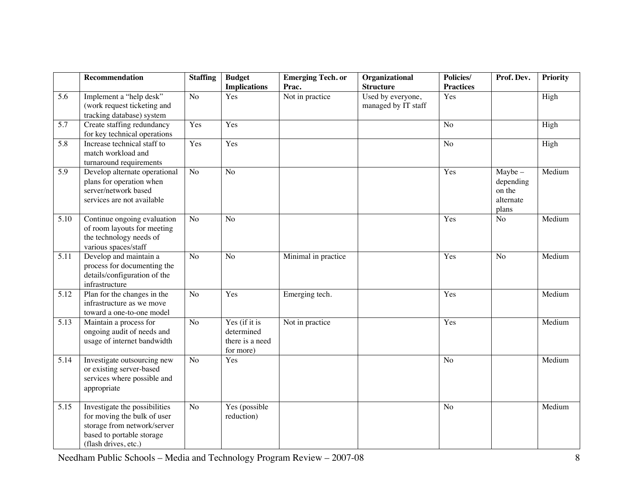|      | Recommendation                                                                                                                                   | <b>Staffing</b> | <b>Budget</b><br><b>Implications</b>                        | <b>Emerging Tech. or</b><br>Prac. | Organizational<br><b>Structure</b>       | Policies/<br><b>Practices</b> | Prof. Dev.                                             | <b>Priority</b> |
|------|--------------------------------------------------------------------------------------------------------------------------------------------------|-----------------|-------------------------------------------------------------|-----------------------------------|------------------------------------------|-------------------------------|--------------------------------------------------------|-----------------|
| 5.6  | Implement a "help desk"<br>(work request ticketing and<br>tracking database) system                                                              | N <sub>o</sub>  | Yes                                                         | Not in practice                   | Used by everyone,<br>managed by IT staff | Yes                           |                                                        | High            |
| 5.7  | Create staffing redundancy<br>for key technical operations                                                                                       | Yes             | Yes                                                         |                                   |                                          | N <sub>o</sub>                |                                                        | High            |
| 5.8  | Increase technical staff to<br>match workload and<br>turnaround requirements                                                                     | Yes             | Yes                                                         |                                   |                                          | N <sub>o</sub>                |                                                        | High            |
| 5.9  | Develop alternate operational<br>plans for operation when<br>server/network based<br>services are not available                                  | No              | No                                                          |                                   |                                          | Yes                           | $Maybe -$<br>depending<br>on the<br>alternate<br>plans | Medium          |
| 5.10 | Continue ongoing evaluation<br>of room layouts for meeting<br>the technology needs of<br>various spaces/staff                                    | N <sub>o</sub>  | No                                                          |                                   |                                          | Yes                           | N <sub>o</sub>                                         | Medium          |
| 5.11 | Develop and maintain a<br>process for documenting the<br>details/configuration of the<br>infrastructure                                          | N <sub>o</sub>  | N <sub>o</sub>                                              | Minimal in practice               |                                          | Yes                           | N <sub>o</sub>                                         | Medium          |
| 5.12 | Plan for the changes in the<br>infrastructure as we move<br>toward a one-to-one model                                                            | No              | Yes                                                         | Emerging tech.                    |                                          | Yes                           |                                                        | Medium          |
| 5.13 | Maintain a process for<br>ongoing audit of needs and<br>usage of internet bandwidth                                                              | N <sub>o</sub>  | Yes (if it is<br>determined<br>there is a need<br>for more) | Not in practice                   |                                          | Yes                           |                                                        | Medium          |
| 5.14 | Investigate outsourcing new<br>or existing server-based<br>services where possible and<br>appropriate                                            | N <sub>o</sub>  | Yes                                                         |                                   |                                          | No                            |                                                        | Medium          |
| 5.15 | Investigate the possibilities<br>for moving the bulk of user<br>storage from network/server<br>based to portable storage<br>(flash drives, etc.) | N <sub>o</sub>  | Yes (possible<br>reduction)                                 |                                   |                                          | No                            |                                                        | Medium          |